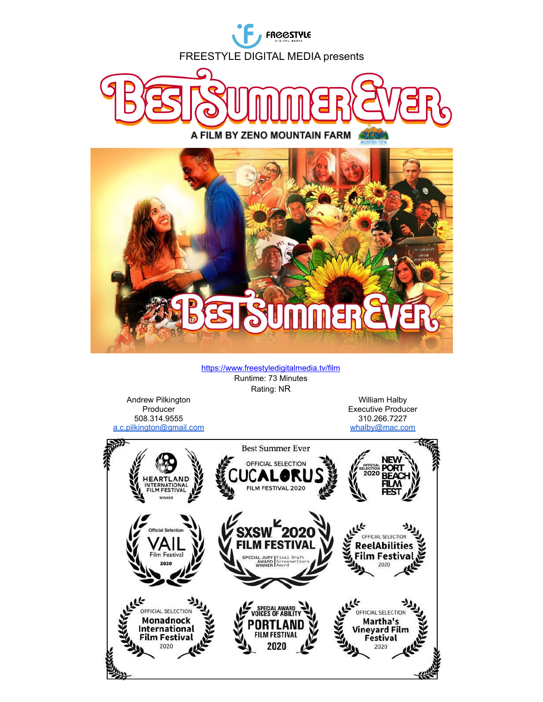

<https://www.freestyledigitalmedia.tv/film> Runtime: 73 Minutes Rating: NR

Andrew Pilkington **Producer** 508.314.9555 [a.c.pilkington@gmail.com](mailto:a.c.pilkington@gmail.com)

William Halby Executive Producer 310.266.7227 [whalby@mac.com](mailto:whalby@mac.com)

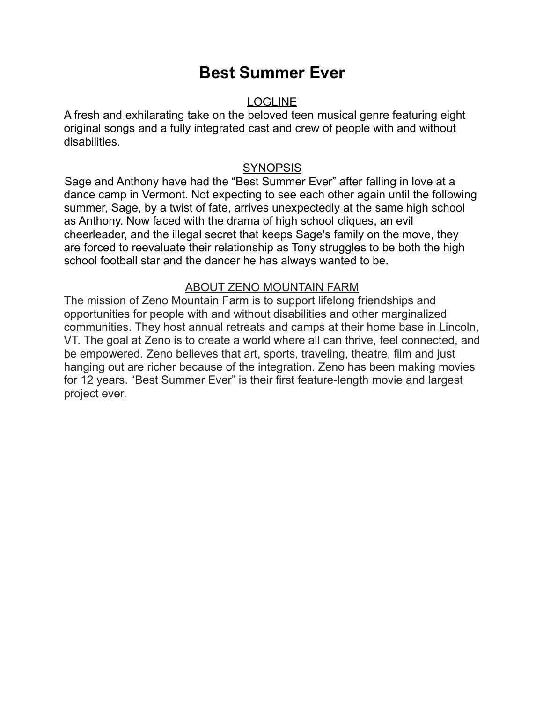# **Best Summer Ever**

#### LOGLINE

A fresh and exhilarating take on the beloved teen musical genre featuring eight original songs and a fully integrated cast and crew of people with and without disabilities.

#### **SYNOPSIS**

Sage and Anthony have had the "Best Summer Ever" after falling in love at a dance camp in Vermont. Not expecting to see each other again until the following summer, Sage, by a twist of fate, arrives unexpectedly at the same high school as Anthony. Now faced with the drama of high school cliques, an evil cheerleader, and the illegal secret that keeps Sage's family on the move, they are forced to reevaluate their relationship as Tony struggles to be both the high school football star and the dancer he has always wanted to be.

### ABOUT ZENO MOUNTAIN FARM

The mission of Zeno Mountain Farm is to support lifelong friendships and opportunities for people with and without disabilities and other marginalized communities. They host annual retreats and camps at their home base in Lincoln, VT. The goal at Zeno is to create a world where all can thrive, feel connected, and be empowered. Zeno believes that art, sports, traveling, theatre, film and just hanging out are richer because of the integration. Zeno has been making movies for 12 years. "Best Summer Ever" is their first feature-length movie and largest project ever.